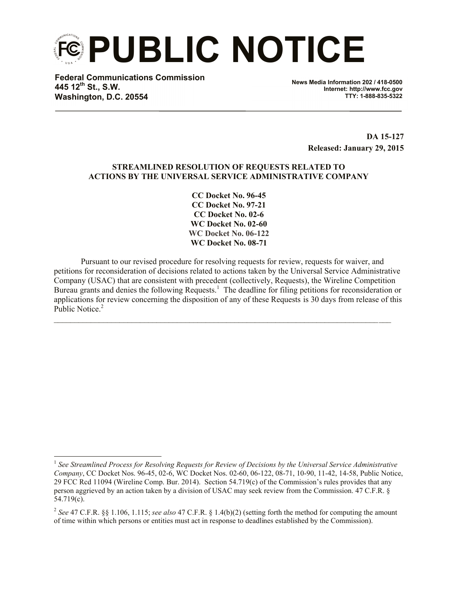**PUBLIC NOTICE**

**Federal Communications Commission 445 12th St., S.W. Washington, D.C. 20554**

 $\overline{a}$ 

**News Media Information 202 / 418-0500 Internet: http://www.fcc.gov TTY: 1-888-835-5322**

> **DA 15-127 Released: January 29, 2015**

# **STREAMLINED RESOLUTION OF REQUESTS RELATED TO ACTIONS BY THE UNIVERSAL SERVICE ADMINISTRATIVE COMPANY**

**CC Docket No. 96-45 CC Docket No. 97-21 CC Docket No. 02-6 WC Docket No. 02-60 WC Docket No. 06-122 WC Docket No. 08-71**

Pursuant to our revised procedure for resolving requests for review, requests for waiver, and petitions for reconsideration of decisions related to actions taken by the Universal Service Administrative Company (USAC) that are consistent with precedent (collectively, Requests), the Wireline Competition Bureau grants and denies the following Requests.<sup>1</sup> The deadline for filing petitions for reconsideration or applications for review concerning the disposition of any of these Requests is 30 days from release of this Public Notice.<sup>2</sup>

 $\mathcal{L}_\mathcal{L} = \{ \mathcal{L}_\mathcal{L} = \{ \mathcal{L}_\mathcal{L} = \{ \mathcal{L}_\mathcal{L} = \{ \mathcal{L}_\mathcal{L} = \{ \mathcal{L}_\mathcal{L} = \{ \mathcal{L}_\mathcal{L} = \{ \mathcal{L}_\mathcal{L} = \{ \mathcal{L}_\mathcal{L} = \{ \mathcal{L}_\mathcal{L} = \{ \mathcal{L}_\mathcal{L} = \{ \mathcal{L}_\mathcal{L} = \{ \mathcal{L}_\mathcal{L} = \{ \mathcal{L}_\mathcal{L} = \{ \mathcal{L}_\mathcal{$ 

<sup>&</sup>lt;sup>1</sup> See Streamlined Process for Resolving Requests for Review of Decisions by the Universal Service Administrative *Company*, CC Docket Nos. 96-45, 02-6, WC Docket Nos. 02-60, 06-122, 08-71, 10-90, 11-42, 14-58, Public Notice, 29 FCC Rcd 11094 (Wireline Comp. Bur. 2014). Section 54.719(c) of the Commission's rules provides that any person aggrieved by an action taken by a division of USAC may seek review from the Commission. 47 C.F.R. § 54.719(c).

<sup>2</sup> *See* 47 C.F.R. §§ 1.106, 1.115; *see also* 47 C.F.R. § 1.4(b)(2) (setting forth the method for computing the amount of time within which persons or entities must act in response to deadlines established by the Commission).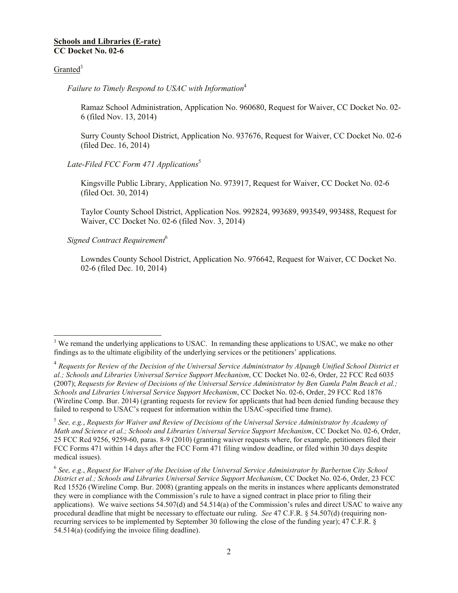#### **Schools and Libraries (E-rate) CC Docket No. 02-6**

# Granted $3$

*Failure to Timely Respond to USAC with Information*<sup>4</sup>

Ramaz School Administration, Application No. 960680, Request for Waiver, CC Docket No. 02- 6 (filed Nov. 13, 2014)

Surry County School District, Application No. 937676, Request for Waiver, CC Docket No. 02-6 (filed Dec. 16, 2014)

# *Late-Filed FCC Form 471 Applications*<sup>5</sup>

Kingsville Public Library, Application No. 973917, Request for Waiver, CC Docket No. 02-6 (filed Oct. 30, 2014)

Taylor County School District, Application Nos. 992824, 993689, 993549, 993488, Request for Waiver, CC Docket No. 02-6 (filed Nov. 3, 2014)

*Signed Contract Requirement*<sup>6</sup>

Lowndes County School District, Application No. 976642, Request for Waiver, CC Docket No. 02-6 (filed Dec. 10, 2014)

 $\overline{a}$  $3$  We remand the underlying applications to USAC. In remanding these applications to USAC, we make no other findings as to the ultimate eligibility of the underlying services or the petitioners' applications.

<sup>&</sup>lt;sup>4</sup> Requests for Review of the Decision of the Universal Service Administrator by Alpaugh Unified School District et *al.; Schools and Libraries Universal Service Support Mechanism*, CC Docket No. 02-6, Order, 22 FCC Rcd 6035 (2007); *Requests for Review of Decisions of the Universal Service Administrator by Ben Gamla Palm Beach et al.; Schools and Libraries Universal Service Support Mechanism*, CC Docket No. 02-6, Order, 29 FCC Rcd 1876 (Wireline Comp. Bur. 2014) (granting requests for review for applicants that had been denied funding because they failed to respond to USAC's request for information within the USAC-specified time frame).

<sup>5</sup> *See, e.g.*, *Requests for Waiver and Review of Decisions of the Universal Service Administrator by Academy of Math and Science et al.; Schools and Libraries Universal Service Support Mechanism*, CC Docket No. 02-6, Order, 25 FCC Rcd 9256, 9259-60, paras. 8-9 (2010) (granting waiver requests where, for example, petitioners filed their FCC Forms 471 within 14 days after the FCC Form 471 filing window deadline, or filed within 30 days despite medical issues).

<sup>6</sup> *See, e.g.*, *Request for Waiver of the Decision of the Universal Service Administrator by Barberton City School District et al.; Schools and Libraries Universal Service Support Mechanism*, CC Docket No. 02-6, Order, 23 FCC Rcd 15526 (Wireline Comp. Bur. 2008) (granting appeals on the merits in instances where applicants demonstrated they were in compliance with the Commission's rule to have a signed contract in place prior to filing their applications). We waive sections 54.507(d) and 54.514(a) of the Commission's rules and direct USAC to waive any procedural deadline that might be necessary to effectuate our ruling. *See* 47 C.F.R. § 54.507(d) (requiring nonrecurring services to be implemented by September 30 following the close of the funding year); 47 C.F.R. § 54.514(a) (codifying the invoice filing deadline).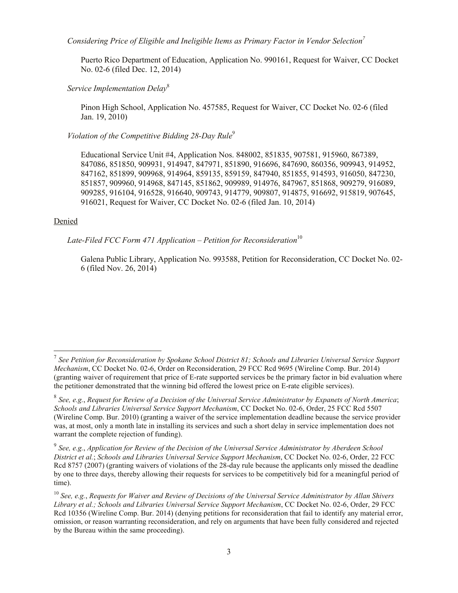*Considering Price of Eligible and Ineligible Items as Primary Factor in Vendor Selection<sup>7</sup>*

Puerto Rico Department of Education, Application No. 990161, Request for Waiver, CC Docket No. 02-6 (filed Dec. 12, 2014)

*Service Implementation Delay*<sup>8</sup>

Pinon High School, Application No. 457585, Request for Waiver, CC Docket No. 02-6 (filed Jan. 19, 2010)

*Violation of the Competitive Bidding 28-Day Rule*<sup>9</sup>

Educational Service Unit #4, Application Nos. 848002, 851835, 907581, 915960, 867389, 847086, 851850, 909931, 914947, 847971, 851890, 916696, 847690, 860356, 909943, 914952, 847162, 851899, 909968, 914964, 859135, 859159, 847940, 851855, 914593, 916050, 847230, 851857, 909960, 914968, 847145, 851862, 909989, 914976, 847967, 851868, 909279, 916089, 909285, 916104, 916528, 916640, 909743, 914779, 909807, 914875, 916692, 915819, 907645, 916021, Request for Waiver, CC Docket No. 02-6 (filed Jan. 10, 2014)

#### Denied

 $\overline{a}$ 

*Late-Filed FCC Form 471 Application – Petition for Reconsideration*<sup>10</sup>

Galena Public Library, Application No. 993588, Petition for Reconsideration, CC Docket No. 02- 6 (filed Nov. 26, 2014)

<sup>7</sup> *See Petition for Reconsideration by Spokane School District 81; Schools and Libraries Universal Service Support Mechanism*, CC Docket No. 02-6, Order on Reconsideration, 29 FCC Rcd 9695 (Wireline Comp. Bur. 2014) (granting waiver of requirement that price of E-rate supported services be the primary factor in bid evaluation where the petitioner demonstrated that the winning bid offered the lowest price on E-rate eligible services).

<sup>8</sup> *See, e.g.*, *Request for Review of a Decision of the Universal Service Administrator by Expanets of North America*; *Schools and Libraries Universal Service Support Mechanism*, CC Docket No. 02-6, Order, 25 FCC Rcd 5507 (Wireline Comp. Bur. 2010) (granting a waiver of the service implementation deadline because the service provider was, at most, only a month late in installing its services and such a short delay in service implementation does not warrant the complete rejection of funding).

<sup>9</sup> *See, e.g.*, *Application for Review of the Decision of the Universal Service Administrator by Aberdeen School District et al.*; *Schools and Libraries Universal Service Support Mechanism*, CC Docket No. 02-6, Order, 22 FCC Rcd 8757 (2007) (granting waivers of violations of the 28-day rule because the applicants only missed the deadline by one to three days, thereby allowing their requests for services to be competitively bid for a meaningful period of time).

<sup>10</sup> *See, e.g.*, *Requests for Waiver and Review of Decisions of the Universal Service Administrator by Allan Shivers Library et al.; Schools and Libraries Universal Service Support Mechanism*, CC Docket No. 02-6, Order, 29 FCC Rcd 10356 (Wireline Comp. Bur. 2014) (denying petitions for reconsideration that fail to identify any material error, omission, or reason warranting reconsideration, and rely on arguments that have been fully considered and rejected by the Bureau within the same proceeding).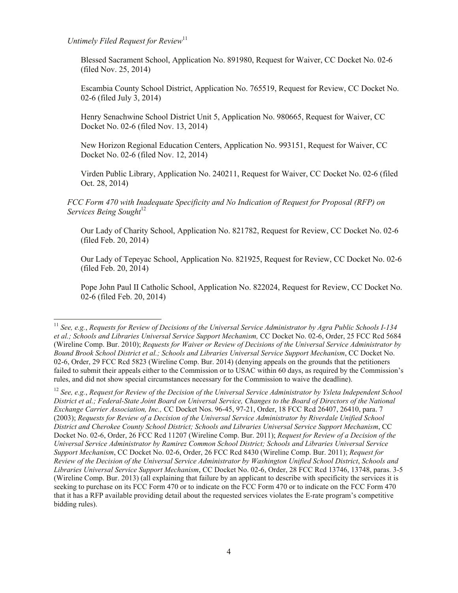*Untimely Filed Request for Review*<sup>11</sup>

 $\overline{\phantom{a}}$ 

Blessed Sacrament School, Application No. 891980, Request for Waiver, CC Docket No. 02-6 (filed Nov. 25, 2014)

Escambia County School District, Application No. 765519, Request for Review, CC Docket No. 02-6 (filed July 3, 2014)

Henry Senachwine School District Unit 5, Application No. 980665, Request for Waiver, CC Docket No. 02-6 (filed Nov. 13, 2014)

New Horizon Regional Education Centers, Application No. 993151, Request for Waiver, CC Docket No. 02-6 (filed Nov. 12, 2014)

Virden Public Library, Application No. 240211, Request for Waiver, CC Docket No. 02-6 (filed Oct. 28, 2014)

*FCC Form 470 with Inadequate Specificity and No Indication of Request for Proposal (RFP) on Services Being Sought*<sup>12</sup>

Our Lady of Charity School, Application No. 821782, Request for Review, CC Docket No. 02-6 (filed Feb. 20, 2014)

Our Lady of Tepeyac School, Application No. 821925, Request for Review, CC Docket No. 02-6 (filed Feb. 20, 2014)

Pope John Paul II Catholic School, Application No. 822024, Request for Review, CC Docket No. 02-6 (filed Feb. 20, 2014)

<sup>11</sup> *See, e.g.*, *Requests for Review of Decisions of the Universal Service Administrator by Agra Public Schools I-134 et al.; Schools and Libraries Universal Service Support Mechanism,* CC Docket No. 02-6, Order, 25 FCC Rcd 5684 (Wireline Comp. Bur. 2010); *Requests for Waiver or Review of Decisions of the Universal Service Administrator by Bound Brook School District et al.; Schools and Libraries Universal Service Support Mechanism*, CC Docket No. 02-6, Order, 29 FCC Rcd 5823 (Wireline Comp. Bur. 2014) (denying appeals on the grounds that the petitioners failed to submit their appeals either to the Commission or to USAC within 60 days, as required by the Commission's rules, and did not show special circumstances necessary for the Commission to waive the deadline).

<sup>12</sup> *See, e.g.*, *Request for Review of the Decision of the Universal Service Administrator by Ysleta Independent School District et al.; Federal-State Joint Board on Universal Service, Changes to the Board of Directors of the National Exchange Carrier Association, Inc.,* CC Docket Nos. 96-45, 97-21, Order, 18 FCC Rcd 26407, 26410, para. 7 (2003); *Requests for Review of a Decision of the Universal Service Administrator by Riverdale Unified School District and Cherokee County School District; Schools and Libraries Universal Service Support Mechanism*, CC Docket No. 02-6, Order, 26 FCC Rcd 11207 (Wireline Comp. Bur. 2011); *Request for Review of a Decision of the Universal Service Administrator by Ramirez Common School District; Schools and Libraries Universal Service Support Mechanism*, CC Docket No. 02-6, Order, 26 FCC Rcd 8430 (Wireline Comp. Bur. 2011); *Request for Review of the Decision of the Universal Service Administrator by Washington Unified School District*, *Schools and Libraries Universal Service Support Mechanism*, CC Docket No. 02-6, Order, 28 FCC Rcd 13746, 13748, paras. 3-5 (Wireline Comp. Bur. 2013) (all explaining that failure by an applicant to describe with specificity the services it is seeking to purchase on its FCC Form 470 or to indicate on the FCC Form 470 or to indicate on the FCC Form 470 that it has a RFP available providing detail about the requested services violates the E-rate program's competitive bidding rules).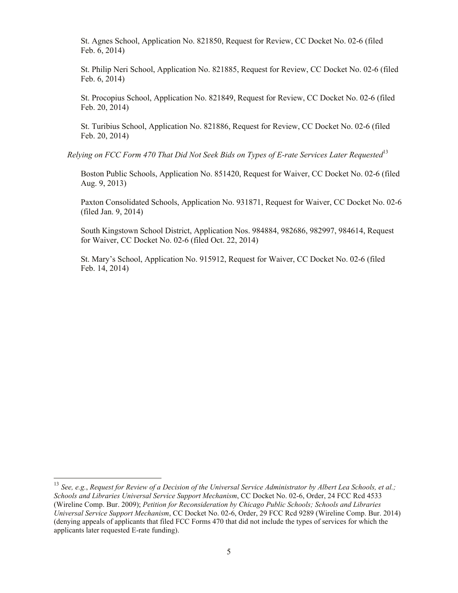St. Agnes School, Application No. 821850, Request for Review, CC Docket No. 02-6 (filed Feb. 6, 2014)

St. Philip Neri School, Application No. 821885, Request for Review, CC Docket No. 02-6 (filed Feb. 6, 2014)

St. Procopius School, Application No. 821849, Request for Review, CC Docket No. 02-6 (filed Feb. 20, 2014)

St. Turibius School, Application No. 821886, Request for Review, CC Docket No. 02-6 (filed Feb. 20, 2014)

*Relying on FCC Form 470 That Did Not Seek Bids on Types of E-rate Services Later Requested*<sup>13</sup>

Boston Public Schools, Application No. 851420, Request for Waiver, CC Docket No. 02-6 (filed Aug. 9, 2013)

Paxton Consolidated Schools, Application No. 931871, Request for Waiver, CC Docket No. 02-6 (filed Jan. 9, 2014)

South Kingstown School District, Application Nos. 984884, 982686, 982997, 984614, Request for Waiver, CC Docket No. 02-6 (filed Oct. 22, 2014)

St. Mary's School, Application No. 915912, Request for Waiver, CC Docket No. 02-6 (filed Feb. 14, 2014)

 $\overline{a}$ 

<sup>13</sup> *See, e.g.*, *Request for Review of a Decision of the Universal Service Administrator by Albert Lea Schools, et al.; Schools and Libraries Universal Service Support Mechanism*, CC Docket No. 02-6, Order, 24 FCC Rcd 4533 (Wireline Comp. Bur. 2009); *Petition for Reconsideration by Chicago Public Schools; Schools and Libraries Universal Service Support Mechanism*, CC Docket No. 02-6, Order, 29 FCC Rcd 9289 (Wireline Comp. Bur. 2014) (denying appeals of applicants that filed FCC Forms 470 that did not include the types of services for which the applicants later requested E-rate funding).